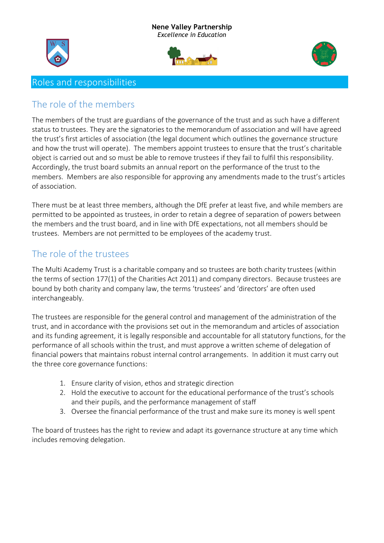#### **Nene Valley Partnership** *Excellence in Education*







#### Roles and responsibilities

#### The role of the members

The members of the trust are guardians of the governance of the trust and as such have a different status to trustees. They are the signatories to the memorandum of association and will have agreed the trust's first articles of association (the legal document which outlines the governance structure and how the trust will operate). The members appoint trustees to ensure that the trust's charitable object is carried out and so must be able to remove trustees if they fail to fulfil this responsibility. Accordingly, the trust board submits an annual report on the performance of the trust to the members. Members are also responsible for approving any amendments made to the trust's articles of association.

There must be at least three members, although the DfE prefer at least five, and while members are permitted to be appointed as trustees, in order to retain a degree of separation of powers between the members and the trust board, and in line with DfE expectations, not all members should be trustees. Members are not permitted to be employees of the academy trust.

### The role of the trustees

The Multi Academy Trust is a charitable company and so trustees are both charity trustees (within the terms of section 177(1) of the Charities Act 2011) and company directors. Because trustees are bound by both charity and company law, the terms 'trustees' and 'directors' are often used interchangeably.

The trustees are responsible for the general control and management of the administration of the trust, and in accordance with the provisions set out in the memorandum and articles of association and its funding agreement, it is legally responsible and accountable for all statutory functions, for the performance of all schools within the trust, and must approve a written scheme of delegation of financial powers that maintains robust internal control arrangements. In addition it must carry out the three core governance functions:

- 1. Ensure clarity of vision, ethos and strategic direction
- 2. Hold the executive to account for the educational performance of the trust's schools and their pupils, and the performance management of staff
- 3. Oversee the financial performance of the trust and make sure its money is well spent

The board of trustees has the right to review and adapt its governance structure at any time which includes removing delegation.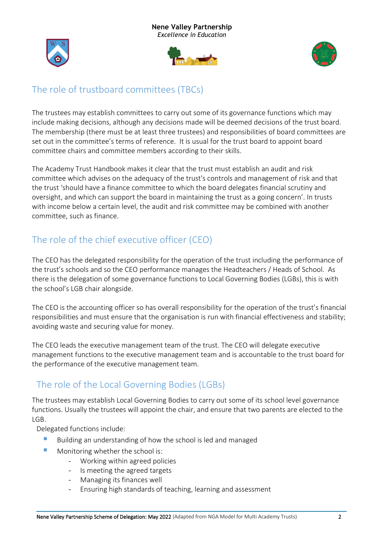





### The role of trustboard committees (TBCs)

The trustees may establish committees to carry out some of its governance functions which may include making decisions, although any decisions made will be deemed decisions of the trust board. The membership (there must be at least three trustees) and responsibilities of board committees are set out in the committee's terms of reference. It is usual for the trust board to appoint board committee chairs and committee members according to their skills.

The Academy Trust Handbook makes it clear that the trust must establish an audit and risk committee which advises on the adequacy of the trust's controls and management of risk and that the trust 'should have a finance committee to which the board delegates financial scrutiny and oversight, and which can support the board in maintaining the trust as a going concern'. In trusts with income below a certain level, the audit and risk committee may be combined with another committee, such as finance.

## The role of the chief executive officer (CEO)

The CEO has the delegated responsibility for the operation of the trust including the performance of the trust's schools and so the CEO performance manages the Headteachers / Heads of School. As there is the delegation of some governance functions to Local Governing Bodies (LGBs), this is with the school's LGB chair alongside.

The CEO is the accounting officer so has overall responsibility for the operation of the trust's financial responsibilities and must ensure that the organisation is run with financial effectiveness and stability; avoiding waste and securing value for money.

The CEO leads the executive management team of the trust. The CEO will delegate executive management functions to the executive management team and is accountable to the trust board for the performance of the executive management team.

## The role of the Local Governing Bodies (LGBs)

The trustees may establish Local Governing Bodies to carry out some of its school level governance functions. Usually the trustees will appoint the chair, and ensure that two parents are elected to the LGB.

Delegated functions include:

- Building an understanding of how the school is led and managed
- Monitoring whether the school is:
	- Working within agreed policies
	- Is meeting the agreed targets
	- Managing its finances well
	- Ensuring high standards of teaching, learning and assessment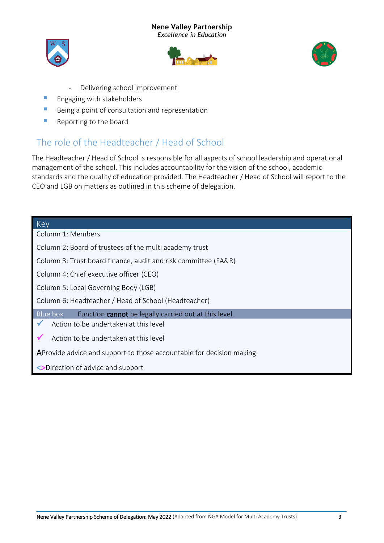#### **Nene Valley Partnership**

*Excellence in Education*







- Delivering school improvement
- **E** Engaging with stakeholders
- Being a point of consultation and representation
- Reporting to the board

# The role of the Headteacher / Head of School

The Headteacher / Head of School is responsible for all aspects of school leadership and operational management of the school. This includes accountability for the vision of the school, academic standards and the quality of education provided. The Headteacher / Head of School will report to the CEO and LGB on matters as outlined in this scheme of delegation.

| Key                                                                  |
|----------------------------------------------------------------------|
| Column 1: Members                                                    |
| Column 2: Board of trustees of the multi academy trust               |
| Column 3: Trust board finance, audit and risk committee (FA&R)       |
| Column 4: Chief executive officer (CEO)                              |
| Column 5: Local Governing Body (LGB)                                 |
| Column 6: Headteacher / Head of School (Headteacher)                 |
| Function cannot be legally carried out at this level.<br>Blue box    |
| Action to be undertaken at this level                                |
| Action to be undertaken at this level                                |
| AProvide advice and support to those accountable for decision making |
| <>Direction of advice and support                                    |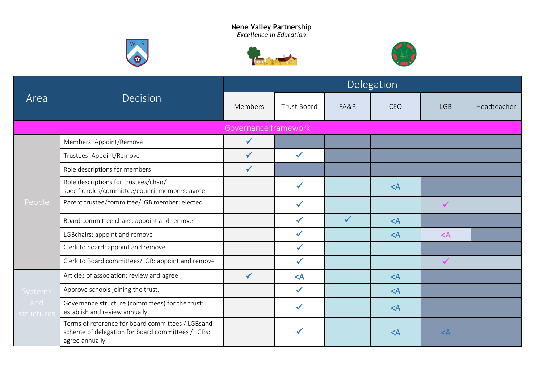





| Area              |                                                                                                                          |                      |                    |      | Delegation |              |             |
|-------------------|--------------------------------------------------------------------------------------------------------------------------|----------------------|--------------------|------|------------|--------------|-------------|
|                   | Decision                                                                                                                 | Members              | <b>Trust Board</b> | FA&R | CEO        | <b>LGB</b>   | Headteacher |
|                   |                                                                                                                          | Governance framework |                    |      |            |              |             |
|                   | Members: Appoint/Remove                                                                                                  | $\checkmark$         |                    |      |            |              |             |
|                   | Trustees: Appoint/Remove                                                                                                 | $\checkmark$         | $\checkmark$       |      |            |              |             |
|                   | Role descriptions for members                                                                                            | $\checkmark$         |                    |      |            |              |             |
| People            | Role descriptions for trustees/chair/<br>specific roles/committee/council members: agree                                 |                      | $\checkmark$       |      | $<$ A      |              |             |
|                   | Parent trustee/committee/LGB member: elected                                                                             |                      |                    |      |            | $\checkmark$ |             |
|                   | Board committee chairs: appoint and remove                                                                               |                      | $\checkmark$       |      | $<$ A      |              |             |
|                   | LGBchairs: appoint and remove                                                                                            |                      | ✓                  |      | $<$ A      | $<$ A        |             |
|                   | Clerk to board: appoint and remove                                                                                       |                      |                    |      |            |              |             |
|                   | Clerk to Board committees/LGB: appoint and remove                                                                        |                      | $\checkmark$       |      |            | $\checkmark$ |             |
|                   | Articles of association: review and agree                                                                                | $\checkmark$         | $<$ A              |      | $<$ A      |              |             |
| <b>Systems</b>    | Approve schools joining the trust.                                                                                       |                      | $\checkmark$       |      | $<$ A      |              |             |
| and<br>structures | Governance structure (committees) for the trust:<br>establish and review annually                                        |                      | $\checkmark$       |      | $<$ A      |              |             |
|                   | Terms of reference for board committees / LGBsand<br>scheme of delegation for board committees / LGBs:<br>agree annually |                      |                    |      | $<$ A      | $<$ A        |             |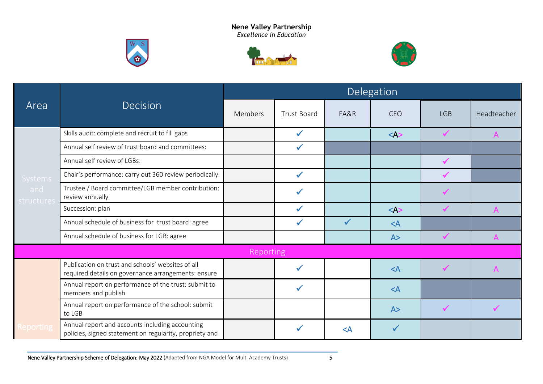





|                   |                                                                                                            | Delegation       |                    |          |               |              |              |  |
|-------------------|------------------------------------------------------------------------------------------------------------|------------------|--------------------|----------|---------------|--------------|--------------|--|
| Area              | Decision                                                                                                   | Members          | <b>Trust Board</b> | FA&R     | <b>CEO</b>    | <b>LGB</b>   | Headteacher  |  |
|                   | Skills audit: complete and recruit to fill gaps                                                            |                  | $\checkmark$       |          | $<\!\!A\!\!>$ | $\sqrt{}$    | $\mathsf{A}$ |  |
|                   | Annual self review of trust board and committees:                                                          |                  | ✔                  |          |               |              |              |  |
|                   | Annual self review of LGBs:                                                                                |                  |                    |          |               |              |              |  |
| <b>Systems</b>    | Chair's performance: carry out 360 review periodically                                                     |                  | $\checkmark$       |          |               |              |              |  |
| and<br>structures | Trustee / Board committee/LGB member contribution:<br>review annually                                      |                  |                    |          |               | $\checkmark$ |              |  |
|                   | Succession: plan                                                                                           |                  | $\checkmark$       |          | $<\!\!A\!\!>$ | $\checkmark$ |              |  |
|                   | Annual schedule of business for trust board: agree                                                         |                  | ✓                  |          | $\prec$ A     |              |              |  |
|                   | Annual schedule of business for LGB: agree                                                                 |                  |                    |          | A>            | $\sqrt{}$    | $\mathsf{A}$ |  |
|                   |                                                                                                            | <b>Reporting</b> |                    |          |               |              |              |  |
|                   | Publication on trust and schools' websites of all<br>required details on governance arrangements: ensure   |                  |                    |          | $<$ A         | $\checkmark$ |              |  |
|                   | Annual report on performance of the trust: submit to<br>members and publish                                |                  | $\checkmark$       |          | $<$ A         |              |              |  |
|                   | Annual report on performance of the school: submit<br>to LGB                                               |                  |                    |          | A>            | $\checkmark$ |              |  |
| Reporting         | Annual report and accounts including accounting<br>policies, signed statement on regularity, propriety and |                  | ✔                  | $\leq$ A | $\checkmark$  |              |              |  |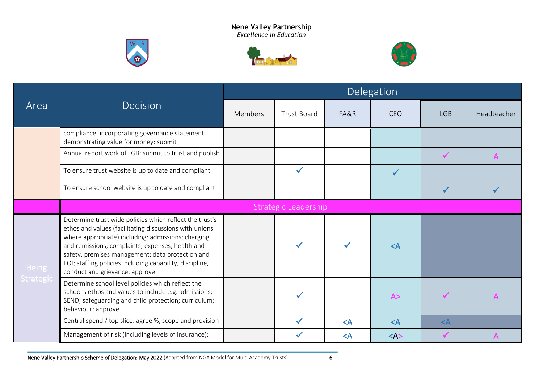





|                           |                                                                                                                                                                                                                                                                                                                                                                               |         |                      |       | Delegation   |                                                                            |             |
|---------------------------|-------------------------------------------------------------------------------------------------------------------------------------------------------------------------------------------------------------------------------------------------------------------------------------------------------------------------------------------------------------------------------|---------|----------------------|-------|--------------|----------------------------------------------------------------------------|-------------|
| Area                      | Decision                                                                                                                                                                                                                                                                                                                                                                      | Members | <b>Trust Board</b>   | FA&R  | CEO          | <b>LGB</b><br>$\checkmark$<br>$\mathsf{A}$<br>$\checkmark$<br>$\checkmark$ | Headteacher |
|                           | compliance, incorporating governance statement<br>demonstrating value for money: submit                                                                                                                                                                                                                                                                                       |         |                      |       |              |                                                                            |             |
|                           | Annual report work of LGB: submit to trust and publish                                                                                                                                                                                                                                                                                                                        |         |                      |       |              |                                                                            |             |
|                           | To ensure trust website is up to date and compliant                                                                                                                                                                                                                                                                                                                           |         | $\checkmark$         |       | $\checkmark$ |                                                                            |             |
|                           | To ensure school website is up to date and compliant                                                                                                                                                                                                                                                                                                                          |         |                      |       |              |                                                                            |             |
|                           |                                                                                                                                                                                                                                                                                                                                                                               |         | Strategic Leadership |       |              |                                                                            |             |
| <b>Being</b><br>Strategic | Determine trust wide policies which reflect the trust's<br>ethos and values (facilitating discussions with unions<br>where appropriate) including: admissions; charging<br>and remissions; complaints; expenses; health and<br>safety, premises management; data protection and<br>FOI; staffing policies including capability, discipline,<br>conduct and grievance: approve |         |                      |       | $\leq$ A     |                                                                            |             |
|                           | Determine school level policies which reflect the<br>school's ethos and values to include e.g. admissions;<br>SEND; safeguarding and child protection; curriculum;<br>behaviour: approve                                                                                                                                                                                      |         |                      |       | A>           |                                                                            |             |
|                           | Central spend / top slice: agree %, scope and provision                                                                                                                                                                                                                                                                                                                       |         |                      | $<$ A | $\leq$ A     | $<$ A                                                                      |             |
|                           | Management of risk (including levels of insurance):                                                                                                                                                                                                                                                                                                                           |         |                      | $<$ A | $<\wedge$    |                                                                            |             |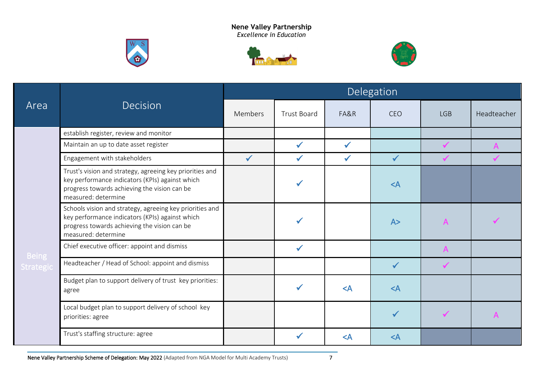





|              |                                                                                                                                                                                    |              |                    |          | Delegation   |                |             |  |  |  |
|--------------|------------------------------------------------------------------------------------------------------------------------------------------------------------------------------------|--------------|--------------------|----------|--------------|----------------|-------------|--|--|--|
| Area         | Decision                                                                                                                                                                           | Members      | <b>Trust Board</b> | FA&R     | <b>CEO</b>   | <b>LGB</b>     | Headteacher |  |  |  |
|              | establish register, review and monitor                                                                                                                                             |              |                    |          |              |                |             |  |  |  |
|              | Maintain an up to date asset register                                                                                                                                              |              |                    |          |              |                |             |  |  |  |
|              | Engagement with stakeholders                                                                                                                                                       | $\checkmark$ | ✓                  |          | $\checkmark$ |                |             |  |  |  |
|              | Trust's vision and strategy, agreeing key priorities and<br>key performance indicators (KPIs) against which<br>progress towards achieving the vision can be<br>measured: determine |              |                    |          | $\leq$ A     |                |             |  |  |  |
|              | Schools vision and strategy, agreeing key priorities and<br>key performance indicators (KPIs) against which<br>progress towards achieving the vision can be<br>measured: determine |              |                    |          | A>           | $\overline{A}$ |             |  |  |  |
| <b>Being</b> | Chief executive officer: appoint and dismiss                                                                                                                                       |              | $\checkmark$       |          |              | $\mathsf{A}$   |             |  |  |  |
| Strategic    | Headteacher / Head of School: appoint and dismiss                                                                                                                                  |              |                    |          | $\checkmark$ | $\checkmark$   |             |  |  |  |
|              | Budget plan to support delivery of trust key priorities:<br>agree                                                                                                                  |              |                    | $\leq$ A | $<$ A        |                |             |  |  |  |
|              | Local budget plan to support delivery of school key<br>priorities: agree                                                                                                           |              |                    |          | $\checkmark$ | $\checkmark$   |             |  |  |  |
|              | Trust's staffing structure: agree                                                                                                                                                  |              |                    | $\leq$ A | $<$ A        |                |             |  |  |  |

Nene Valley Partnership Scheme of Delegation: May 2022 (Adapted from NGA Model for Multi Academy Trusts) 7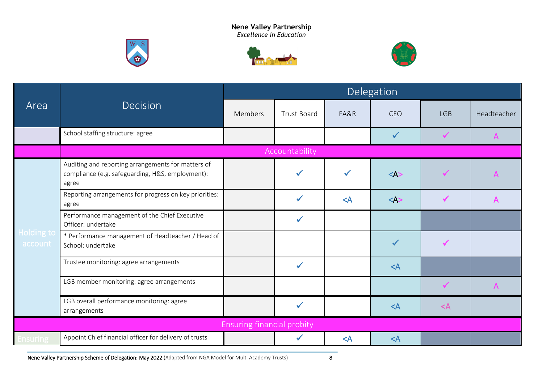





| Area                  |                                                                                                                 |                                   |                    |       | Delegation   |       | Headteacher<br><b>LGB</b><br>$\checkmark$<br>$\mathsf{A}$<br>$\checkmark$<br>$\checkmark$<br>$\mathsf{A}$<br>$\checkmark$<br>$\checkmark$<br>$\mathsf{A}$ |  |  |
|-----------------------|-----------------------------------------------------------------------------------------------------------------|-----------------------------------|--------------------|-------|--------------|-------|-----------------------------------------------------------------------------------------------------------------------------------------------------------|--|--|
|                       | Decision                                                                                                        | Members                           | <b>Trust Board</b> | FA&R  | <b>CEO</b>   | $<$ A |                                                                                                                                                           |  |  |
|                       | School staffing structure: agree                                                                                |                                   |                    |       | $\checkmark$ |       |                                                                                                                                                           |  |  |
|                       |                                                                                                                 |                                   | Accountability     |       |              |       |                                                                                                                                                           |  |  |
| Holding to<br>account | Auditing and reporting arrangements for matters of<br>compliance (e.g. safeguarding, H&S, employment):<br>agree |                                   |                    |       | $<\forall$   |       |                                                                                                                                                           |  |  |
|                       | Reporting arrangements for progress on key priorities:<br>agree                                                 |                                   | $\checkmark$       | $<$ A | $<$ A>       |       |                                                                                                                                                           |  |  |
|                       | Performance management of the Chief Executive<br>Officer: undertake                                             |                                   | $\checkmark$       |       |              |       |                                                                                                                                                           |  |  |
|                       | * Performance management of Headteacher / Head of<br>School: undertake                                          |                                   |                    |       | $\checkmark$ |       |                                                                                                                                                           |  |  |
|                       | Trustee monitoring: agree arrangements                                                                          |                                   | $\checkmark$       |       | $\prec$ A    |       |                                                                                                                                                           |  |  |
|                       | LGB member monitoring: agree arrangements                                                                       |                                   |                    |       |              |       |                                                                                                                                                           |  |  |
|                       | LGB overall performance monitoring: agree<br>arrangements                                                       |                                   | ✔                  |       | $<$ A        |       |                                                                                                                                                           |  |  |
|                       |                                                                                                                 | <b>Ensuring financial probity</b> |                    |       |              |       |                                                                                                                                                           |  |  |
| nsuring               | Appoint Chief financial officer for delivery of trusts                                                          |                                   | $\checkmark$       | $<$ A | $\prec$ A    |       |                                                                                                                                                           |  |  |

Nene Valley Partnership Scheme of Delegation: May 2022 (Adapted from NGA Model for Multi Academy Trusts) 8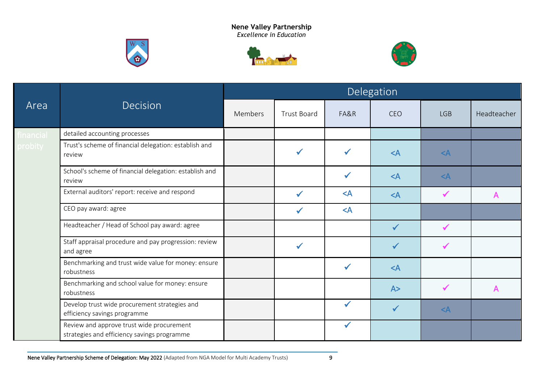





| Area      |                                                                                          | Delegation     |                    |              |              |              |             |  |  |
|-----------|------------------------------------------------------------------------------------------|----------------|--------------------|--------------|--------------|--------------|-------------|--|--|
|           | <b>Decision</b>                                                                          | <b>Members</b> | <b>Trust Board</b> | FA&R         | CEO          | <b>LGB</b>   | Headteacher |  |  |
| financial | detailed accounting processes                                                            |                |                    |              |              |              |             |  |  |
| probity   | Trust's scheme of financial delegation: establish and<br>review                          |                | $\checkmark$       | $\checkmark$ | $<$ A        | $\leq$ A     |             |  |  |
|           | School's scheme of financial delegation: establish and<br>review                         |                |                    | $\checkmark$ | $<$ A        | $<$ A        |             |  |  |
|           | External auditors' report: receive and respond                                           |                | $\checkmark$       | $<$ A        | $<$ A        | $\checkmark$ | A           |  |  |
|           | CEO pay award: agree                                                                     |                | $\checkmark$       | $<$ A        |              |              |             |  |  |
|           | Headteacher / Head of School pay award: agree                                            |                |                    |              | $\checkmark$ | $\checkmark$ |             |  |  |
|           | Staff appraisal procedure and pay progression: review<br>and agree                       |                | $\checkmark$       |              | $\checkmark$ | ✔            |             |  |  |
|           | Benchmarking and trust wide value for money: ensure<br>robustness                        |                |                    | $\checkmark$ | $<$ A        |              |             |  |  |
|           | Benchmarking and school value for money: ensure<br>robustness                            |                |                    |              | A>           | $\checkmark$ | A           |  |  |
|           | Develop trust wide procurement strategies and<br>efficiency savings programme            |                |                    | $\checkmark$ | $\checkmark$ | $<$ A        |             |  |  |
|           | Review and approve trust wide procurement<br>strategies and efficiency savings programme |                |                    | $\checkmark$ |              |              |             |  |  |